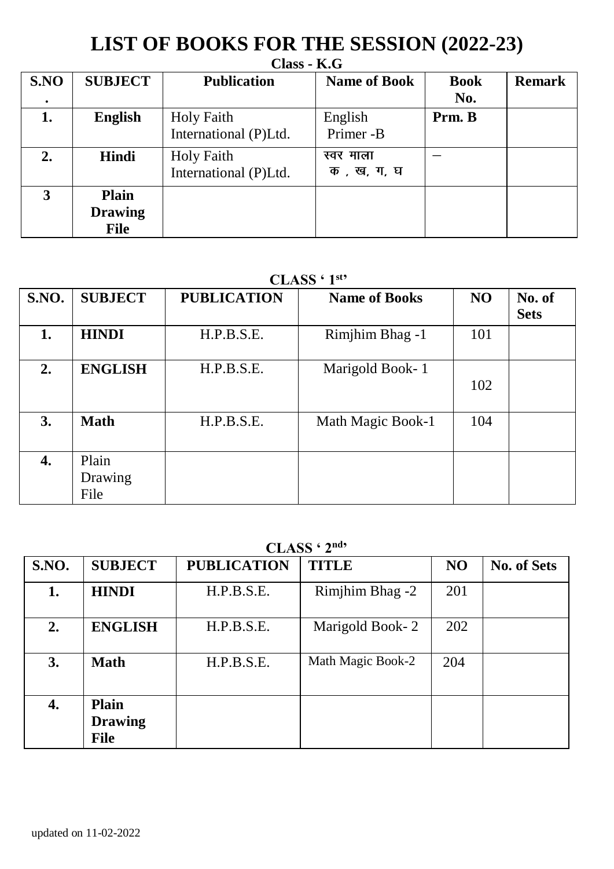## **LIST OF BOOKS FOR THE SESSION (2022-23)**

|      | $Class - K.G$                          |                                     |                         |                    |               |  |  |  |  |  |
|------|----------------------------------------|-------------------------------------|-------------------------|--------------------|---------------|--|--|--|--|--|
| S.NO | <b>SUBJECT</b>                         | <b>Publication</b>                  | <b>Name of Book</b>     | <b>Book</b><br>No. | <b>Remark</b> |  |  |  |  |  |
| 1.   | <b>English</b>                         | Holy Faith<br>International (P)Ltd. | English<br>Primer -B    | Prm. B             |               |  |  |  |  |  |
| 2.   | Hindi                                  | Holy Faith<br>International (P)Ltd. | स्वर माला<br>क, ख, ग, घ |                    |               |  |  |  |  |  |
| 3    | <b>Plain</b><br><b>Drawing</b><br>File |                                     |                         |                    |               |  |  |  |  |  |

### **CLASS ' 1st '**

| S.NO. | <b>SUBJECT</b>           | <b>PUBLICATION</b> | <b>Name of Books</b> | NO  | No. of<br><b>Sets</b> |  |  |  |
|-------|--------------------------|--------------------|----------------------|-----|-----------------------|--|--|--|
| 1.    | <b>HINDI</b>             | H.P.B.S.E.         | Rimjhim Bhag -1      | 101 |                       |  |  |  |
| 2.    | <b>ENGLISH</b>           | H.P.B.S.E.         | Marigold Book-1      | 102 |                       |  |  |  |
| 3.    | Math                     | H.P.B.S.E.         | Math Magic Book-1    | 104 |                       |  |  |  |
| 4.    | Plain<br>Drawing<br>File |                    |                      |     |                       |  |  |  |

#### **CLASS ' 2nd '**

| <b>S.NO.</b> | <b>SUBJECT</b>                  | <b>PUBLICATION</b> | <b>TITLE</b>      | NO. | No. of Sets |  |  |
|--------------|---------------------------------|--------------------|-------------------|-----|-------------|--|--|
| 1.           | <b>HINDI</b>                    | H.P.B.S.E.         | Rimjhim Bhag -2   | 201 |             |  |  |
| 2.           | <b>ENGLISH</b>                  | H.P.B.S.E.         | Marigold Book-2   | 202 |             |  |  |
| 3.           | Math                            | H.P.B.S.E.         | Math Magic Book-2 | 204 |             |  |  |
| 4.           | Plain<br><b>Drawing</b><br>File |                    |                   |     |             |  |  |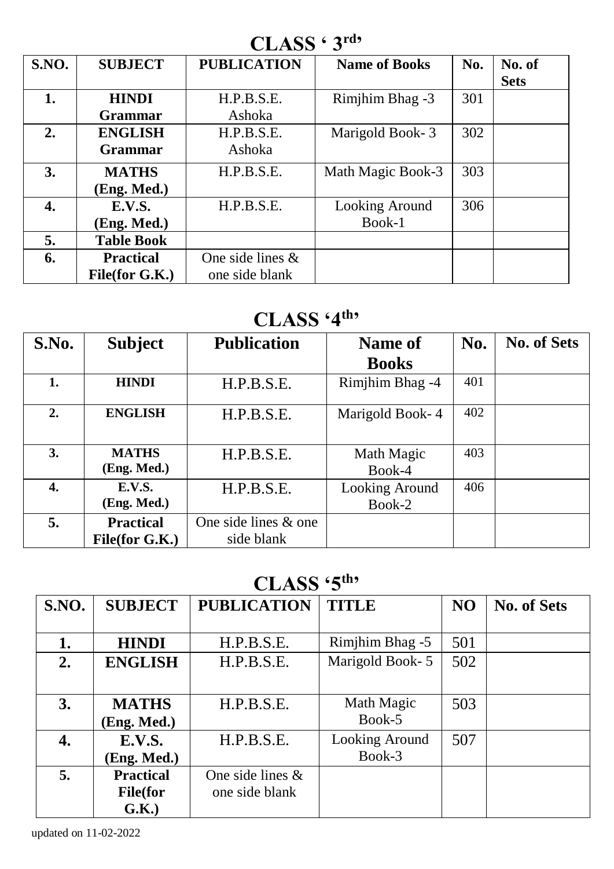# **CLASS ' 3rd'**

| S.NO. | <b>SUBJECT</b>    | <b>PUBLICATION</b>  | <b>Name of Books</b> | No. | No. of      |
|-------|-------------------|---------------------|----------------------|-----|-------------|
|       |                   |                     |                      |     | <b>Sets</b> |
| 1.    | <b>HINDI</b>      | H.P.B.S.E.          | Rimjhim Bhag -3      | 301 |             |
|       | <b>Grammar</b>    | Ashoka              |                      |     |             |
| 2.    | <b>ENGLISH</b>    | H.P.B.S.E.          | Marigold Book-3      | 302 |             |
|       | <b>Grammar</b>    | Ashoka              |                      |     |             |
| 3.    | <b>MATHS</b>      | H.P.B.S.E.          | Math Magic Book-3    | 303 |             |
|       | (Eng. Med.)       |                     |                      |     |             |
| 4.    | <b>E.V.S.</b>     | H.P.B.S.E.          | Looking Around       | 306 |             |
|       | (Eng. Med.)       |                     | Book-1               |     |             |
| 5.    | <b>Table Book</b> |                     |                      |     |             |
| 6.    | <b>Practical</b>  | One side lines $\&$ |                      |     |             |
|       | File(for G.K.)    | one side blank      |                      |     |             |

# **CLASS '4th'**

| S.No. | <b>Subject</b>                     | <b>Publication</b>                 | Name of                  | No. | <b>No. of Sets</b> |
|-------|------------------------------------|------------------------------------|--------------------------|-----|--------------------|
|       |                                    |                                    | <b>Books</b>             |     |                    |
| 1.    | <b>HINDI</b>                       | H.P.B.S.E.                         | Rimjhim Bhag -4          | 401 |                    |
| 2.    | <b>ENGLISH</b>                     | H.P.B.S.E.                         | Marigold Book-4          | 402 |                    |
| 3.    | <b>MATHS</b><br>(Eng. Med.)        | H.P.B.S.E.                         | Math Magic<br>Book-4     | 403 |                    |
| 4.    | E.V.S.<br>(Eng. Med.)              | H.P.B.S.E.                         | Looking Around<br>Book-2 | 406 |                    |
| 5.    | <b>Practical</b><br>File(for G.K.) | One side lines & one<br>side blank |                          |     |                    |

## **CLASS '5th'**

| S.NO. | <b>SUBJECT</b>   | <b>PUBLICATION</b>  | <b>TITLE</b>    | N <sub>O</sub> | <b>No. of Sets</b> |
|-------|------------------|---------------------|-----------------|----------------|--------------------|
|       |                  |                     |                 |                |                    |
| 1.    | <b>HINDI</b>     | H.P.B.S.E.          | Rimjhim Bhag -5 | 501            |                    |
| 2.    | <b>ENGLISH</b>   | H.P.B.S.E.          | Marigold Book-5 | 502            |                    |
|       |                  |                     |                 |                |                    |
| 3.    | <b>MATHS</b>     | H.P.B.S.E.          | Math Magic      | 503            |                    |
|       | Eng. Med.)       |                     | Book-5          |                |                    |
| 4.    | E.V.S.           | H.P.B.S.E.          | Looking Around  | 507            |                    |
|       | (Eng. Med.)      |                     | Book-3          |                |                    |
| 5.    | <b>Practical</b> | One side lines $\&$ |                 |                |                    |
|       | <b>File</b> (for | one side blank      |                 |                |                    |
|       | G.K.)            |                     |                 |                |                    |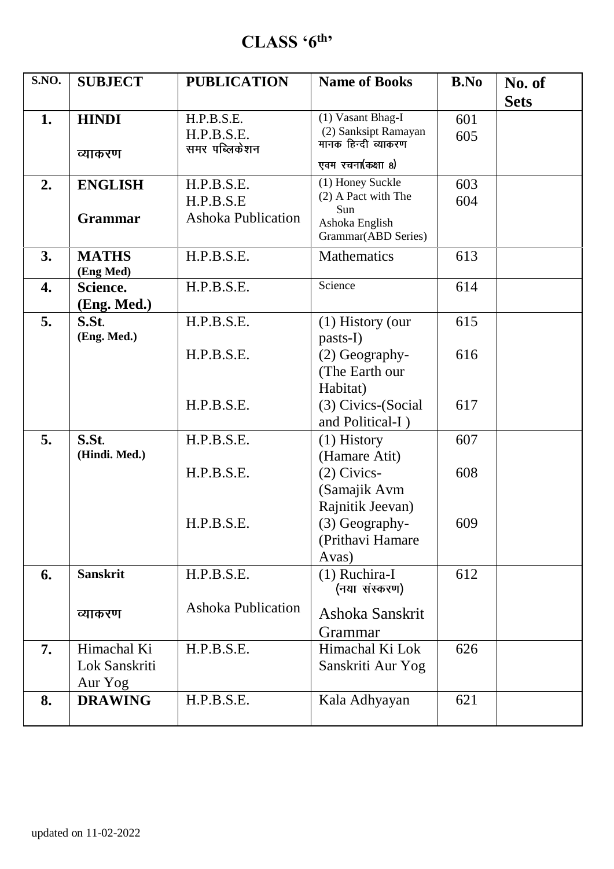### **CLASS '6th '**

| S.NO.            | <b>SUBJECT</b>         | <b>PUBLICATION</b>          | <b>Name of Books</b>                        | B.No             | No. of      |
|------------------|------------------------|-----------------------------|---------------------------------------------|------------------|-------------|
|                  |                        |                             |                                             |                  | <b>Sets</b> |
| 1.               | <b>HINDI</b>           | H.P.B.S.E.                  | (1) Vasant Bhag-I                           | 601              |             |
|                  |                        | H.P.B.S.E.<br>समर पब्लिकेशन | (2) Sanksipt Ramayan<br>मानक हिन्दी व्याकरण | 605              |             |
|                  | व्याकरण                |                             | एवम रचना(कक्षा 8)                           |                  |             |
| $\overline{2}$ . | <b>ENGLISH</b>         | H.P.B.S.E.                  | (1) Honey Suckle                            | 603              |             |
|                  |                        | H.P.B.S.E                   | (2) A Pact with The<br>Sun                  | 604              |             |
|                  | <b>Grammar</b>         | Ashoka Publication          | Ashoka English                              |                  |             |
|                  |                        |                             | Grammar(ABD Series)                         |                  |             |
| 3.               | <b>MATHS</b>           | H.P.B.S.E.                  | <b>Mathematics</b>                          | 613              |             |
| 4.               | (Eng Med)<br>Science.  | H.P.B.S.E.                  | Science                                     | $\overline{614}$ |             |
|                  | (Eng. Med.)            |                             |                                             |                  |             |
| 5.               | S.St.                  | H.P.B.S.E.                  | (1) History (our                            | 615              |             |
|                  | (Eng. Med.)            |                             | pasts-I)                                    |                  |             |
|                  |                        | H.P.B.S.E.                  | (2) Geography-                              | 616              |             |
|                  |                        |                             | (The Earth our                              |                  |             |
|                  |                        |                             | Habitat)                                    |                  |             |
|                  |                        | H.P.B.S.E.                  | (3) Civics-(Social                          | 617              |             |
|                  |                        |                             | and Political-I)                            |                  |             |
| 5.               | S.St.<br>(Hindi. Med.) | H.P.B.S.E.                  | $(1)$ History                               | 607              |             |
|                  |                        | H.P.B.S.E.                  | (Hamare Atit)                               |                  |             |
|                  |                        |                             | (2) Civics-<br>(Samajik Avm                 | 608              |             |
|                  |                        |                             | Rajnitik Jeevan)                            |                  |             |
|                  |                        | H.P.B.S.E.                  | (3) Geography-                              | 609              |             |
|                  |                        |                             | (Prithavi Hamare                            |                  |             |
|                  |                        |                             | Avas)                                       |                  |             |
| 6.               | <b>Sanskrit</b>        | H.P.B.S.E.                  | (1) Ruchira-I                               | 612              |             |
|                  |                        |                             | (नया संस्करण)                               |                  |             |
|                  | व्याकरण                | <b>Ashoka Publication</b>   | Ashoka Sanskrit                             |                  |             |
|                  |                        |                             | Grammar                                     |                  |             |
| 7.               | Himachal Ki            | H.P.B.S.E.                  | Himachal Ki Lok                             | 626              |             |
|                  | Lok Sanskriti          |                             | Sanskriti Aur Yog                           |                  |             |
|                  | Aur Yog                |                             |                                             |                  |             |
| 8.               | <b>DRAWING</b>         | H.P.B.S.E.                  | Kala Adhyayan                               | 621              |             |
|                  |                        |                             |                                             |                  |             |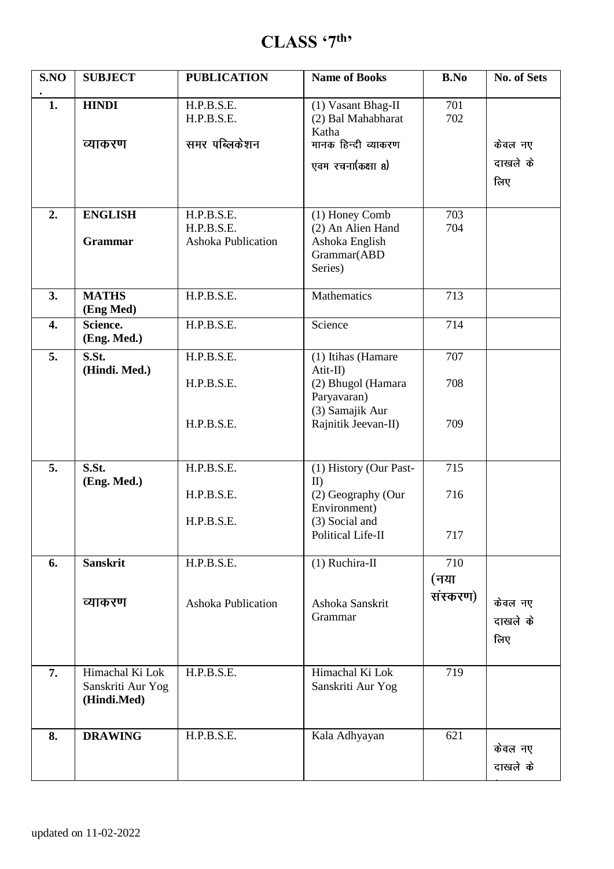### **CLASS '7th '**

| S.NO             | <b>SUBJECT</b>                                      | <b>PUBLICATION</b>                                    | <b>Name of Books</b>                                                                          | <b>B.No</b>      | No. of Sets                |
|------------------|-----------------------------------------------------|-------------------------------------------------------|-----------------------------------------------------------------------------------------------|------------------|----------------------------|
| 1.               | <b>HINDI</b><br>व्याकरण                             | H.P.B.S.E.<br>H.P.B.S.E.<br>समर पब्लिकेशन             | (1) Vasant Bhag-II<br>(2) Bal Mahabharat<br>Katha<br>मानक हिन्दी व्याकरण<br>एवम रचना(कक्षा 8) | 701<br>702       | केवल नए<br>दाखले के<br>लिए |
| 2.               | <b>ENGLISH</b><br><b>Grammar</b>                    | H.P.B.S.E.<br>H.P.B.S.E.<br><b>Ashoka Publication</b> | (1) Honey Comb<br>(2) An Alien Hand<br>Ashoka English<br>Grammar(ABD<br>Series)               | 703<br>704       |                            |
| 3.               | <b>MATHS</b><br>(Eng Med)                           | H.P.B.S.E.                                            | Mathematics                                                                                   | 713              |                            |
| $\overline{4}$ . | Science.<br>(Eng. Med.)                             | H.P.B.S.E.                                            | Science                                                                                       | 714              |                            |
| 5.               | S.St.<br>(Hindi. Med.)                              | H.P.B.S.E.                                            | (1) Itihas (Hamare<br>$Atit-II$ )                                                             | 707              |                            |
|                  |                                                     | H.P.B.S.E.                                            | (2) Bhugol (Hamara<br>Paryavaran)<br>(3) Samajik Aur                                          | 708              |                            |
|                  |                                                     | H.P.B.S.E.                                            | Rajnitik Jeevan-II)                                                                           | 709              |                            |
| 5.               | S.St.<br>(Eng. Med.)                                | H.P.B.S.E.                                            | (1) History (Our Past-<br>$_{\text{ID}}$                                                      | 715              |                            |
|                  |                                                     | H.P.B.S.E.                                            | (2) Geography (Our<br>Environment)                                                            | 716              |                            |
|                  |                                                     | H.P.B.S.E.                                            | (3) Social and<br>Political Life-II                                                           | 717              |                            |
| 6.               | <b>Sanskrit</b>                                     | H.P.B.S.E.                                            | $(1)$ Ruchira-II                                                                              | 710              |                            |
|                  | व्याकरण                                             | Ashoka Publication                                    | Ashoka Sanskrit<br>Grammar                                                                    | (नया<br>संस्करण) | केवल नए<br>दाखले के<br>लिए |
| 7.               | Himachal Ki Lok<br>Sanskriti Aur Yog<br>(Hindi.Med) | H.P.B.S.E.                                            | Himachal Ki Lok<br>Sanskriti Aur Yog                                                          | 719              |                            |
| 8.               | <b>DRAWING</b>                                      | H.P.B.S.E.                                            | Kala Adhyayan                                                                                 | 621              | केवल नए<br>दाखले के        |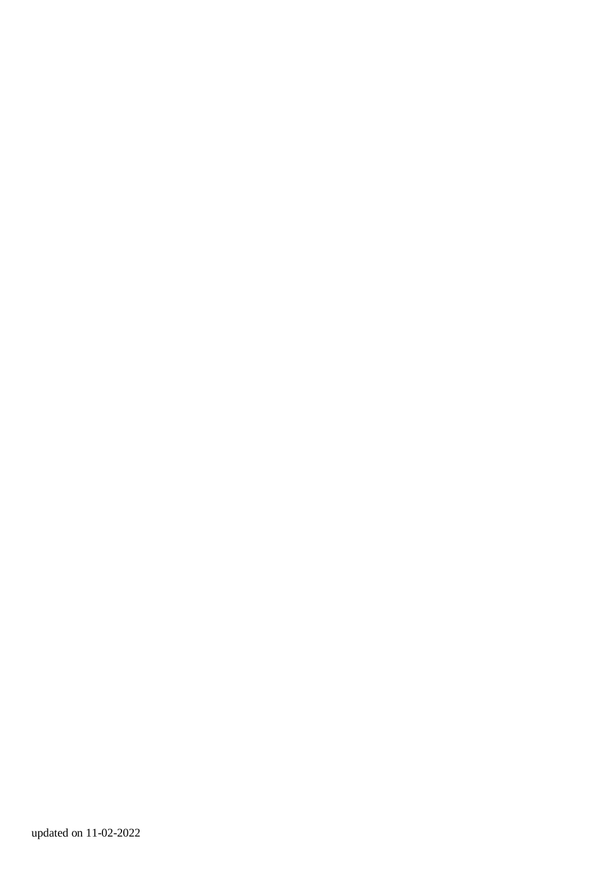updated on 11-02-2022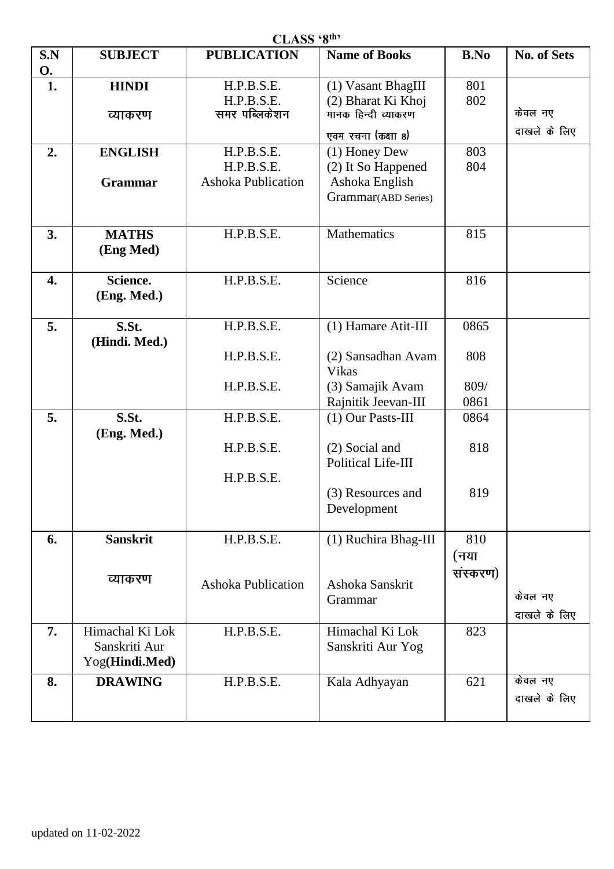| CLASS '8th' |                 |                    |                       |          |              |  |  |  |
|-------------|-----------------|--------------------|-----------------------|----------|--------------|--|--|--|
| S.N         | <b>SUBJECT</b>  | <b>PUBLICATION</b> | <b>Name of Books</b>  | B.No     | No. of Sets  |  |  |  |
| О.          |                 |                    |                       |          |              |  |  |  |
| 1.          | <b>HINDI</b>    | H.P.B.S.E.         | (1) Vasant BhagIII    | 801      |              |  |  |  |
|             |                 | H.P.B.S.E.         | (2) Bharat Ki Khoj    | 802      |              |  |  |  |
|             | व्याकरण         | समर पब्लिकेशन      | मानक हिन्दी व्याकरण   |          | केवल नए      |  |  |  |
|             |                 |                    | एवम रचना (कक्षा ८)    |          | दाखले के लिए |  |  |  |
|             |                 |                    |                       | 803      |              |  |  |  |
| 2.          | <b>ENGLISH</b>  | H.P.B.S.E.         | (1) Honey Dew         |          |              |  |  |  |
|             |                 | H.P.B.S.E.         | (2) It So Happened    | 804      |              |  |  |  |
|             | Grammar         | Ashoka Publication | Ashoka English        |          |              |  |  |  |
|             |                 |                    | Grammar(ABD Series)   |          |              |  |  |  |
|             |                 |                    |                       |          |              |  |  |  |
| 3.          | <b>MATHS</b>    | H.P.B.S.E.         | Mathematics           | 815      |              |  |  |  |
|             | (Eng Med)       |                    |                       |          |              |  |  |  |
|             |                 |                    |                       |          |              |  |  |  |
| 4.          | Science.        | H.P.B.S.E.         | Science               | 816      |              |  |  |  |
|             | (Eng. Med.)     |                    |                       |          |              |  |  |  |
|             |                 |                    |                       |          |              |  |  |  |
| 5.          | S.St.           | H.P.B.S.E.         | $(1)$ Hamare Atit-III | 0865     |              |  |  |  |
|             | (Hindi. Med.)   |                    |                       |          |              |  |  |  |
|             |                 | H.P.B.S.E.         | (2) Sansadhan Avam    | 808      |              |  |  |  |
|             |                 |                    | <b>Vikas</b>          |          |              |  |  |  |
|             |                 | H.P.B.S.E.         | (3) Samajik Avam      | 809/     |              |  |  |  |
|             |                 |                    | Rajnitik Jeevan-III   | 0861     |              |  |  |  |
| 5.          | S.St.           | H.P.B.S.E.         | $(1)$ Our Pasts-III   | 0864     |              |  |  |  |
|             | (Eng. Med.)     |                    |                       |          |              |  |  |  |
|             |                 | H.P.B.S.E.         | (2) Social and        | 818      |              |  |  |  |
|             |                 |                    | Political Life-III    |          |              |  |  |  |
|             |                 | H.P.B.S.E.         |                       |          |              |  |  |  |
|             |                 |                    | (3) Resources and     | 819      |              |  |  |  |
|             |                 |                    | Development           |          |              |  |  |  |
|             |                 |                    |                       |          |              |  |  |  |
| 6.          | <b>Sanskrit</b> | H.P.B.S.E.         | (1) Ruchira Bhag-III  | 810      |              |  |  |  |
|             |                 |                    |                       | (नया     |              |  |  |  |
|             |                 |                    |                       | संस्करण) |              |  |  |  |
|             | व्याकरण         | Ashoka Publication | Ashoka Sanskrit       |          |              |  |  |  |
|             |                 |                    | Grammar               |          | केवल नए      |  |  |  |
|             |                 |                    |                       |          | दाखले के लिए |  |  |  |
| 7.          | Himachal Ki Lok | H.P.B.S.E.         | Himachal Ki Lok       | 823      |              |  |  |  |
|             | Sanskriti Aur   |                    | Sanskriti Aur Yog     |          |              |  |  |  |
|             | Yog(Hindi.Med)  |                    |                       |          |              |  |  |  |
| 8.          | <b>DRAWING</b>  | H.P.B.S.E.         | Kala Adhyayan         | 621      | केवल नए      |  |  |  |
|             |                 |                    |                       |          | दाखले के लिए |  |  |  |
|             |                 |                    |                       |          |              |  |  |  |
|             |                 |                    |                       |          |              |  |  |  |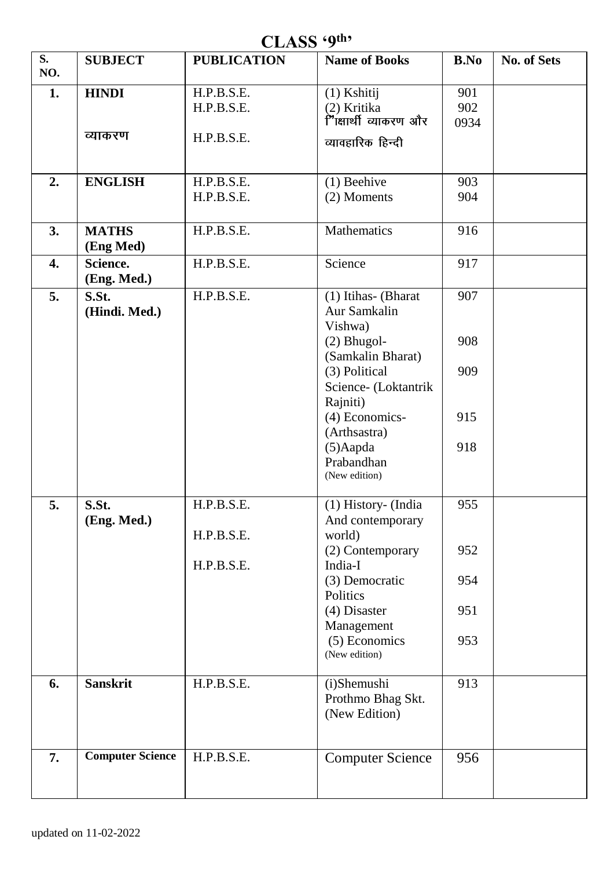### **CLASS '9th '**

| S.<br>NO.        | <b>SUBJECT</b>            | <b>PUBLICATION</b>       | <b>Name of Books</b>                                                        | <b>B.No</b>             | No. of Sets |
|------------------|---------------------------|--------------------------|-----------------------------------------------------------------------------|-------------------------|-------------|
| 1.               | <b>HINDI</b>              | H.P.B.S.E.<br>H.P.B.S.E. | $(1)$ Kshitij<br>(2) Kritika<br>ैं'िक्षार्थी व्याकरण और                     | 901<br>902<br>0934      |             |
|                  | व्याकरण                   | H.P.B.S.E.               | व्यावहारिक हिन्दी                                                           |                         |             |
| 2.               | <b>ENGLISH</b>            | H.P.B.S.E.<br>H.P.B.S.E. | $(1)$ Beehive<br>(2) Moments                                                | $\overline{9}03$<br>904 |             |
| 3.               | <b>MATHS</b><br>(Eng Med) | H.P.B.S.E.               | Mathematics                                                                 | 916                     |             |
| $\overline{4}$ . | Science.<br>(Eng. Med.)   | H.P.B.S.E.               | Science                                                                     | 917                     |             |
| 5.               | S.St.<br>(Hindi. Med.)    | H.P.B.S.E.               | (1) Itihas- (Bharat<br>Aur Samkalin<br>Vishwa)                              | 907                     |             |
|                  |                           |                          | $(2)$ Bhugol-<br>(Samkalin Bharat)<br>(3) Political<br>Science- (Loktantrik | 908<br>909              |             |
|                  |                           |                          | Rajniti)<br>$(4)$ Economics-<br>(Arthsastra)                                | 915                     |             |
|                  |                           |                          | (5) Aapda<br>Prabandhan<br>(New edition)                                    | 918                     |             |
| 5.               | S.St.<br>(Eng. Med.)      | H.P.B.S.E.<br>H.P.B.S.E. | (1) History- (India<br>And contemporary<br>world)                           | 955                     |             |
|                  |                           | H.P.B.S.E.               | (2) Contemporary<br>India-I                                                 | 952                     |             |
|                  |                           |                          | (3) Democratic<br>Politics<br>(4) Disaster                                  | 954<br>951              |             |
|                  |                           |                          | Management<br>(5) Economics<br>(New edition)                                | 953                     |             |
| 6.               | <b>Sanskrit</b>           | H.P.B.S.E.               | (i)Shemushi<br>Prothmo Bhag Skt.<br>(New Edition)                           | 913                     |             |
| 7.               | <b>Computer Science</b>   | H.P.B.S.E.               | <b>Computer Science</b>                                                     | 956                     |             |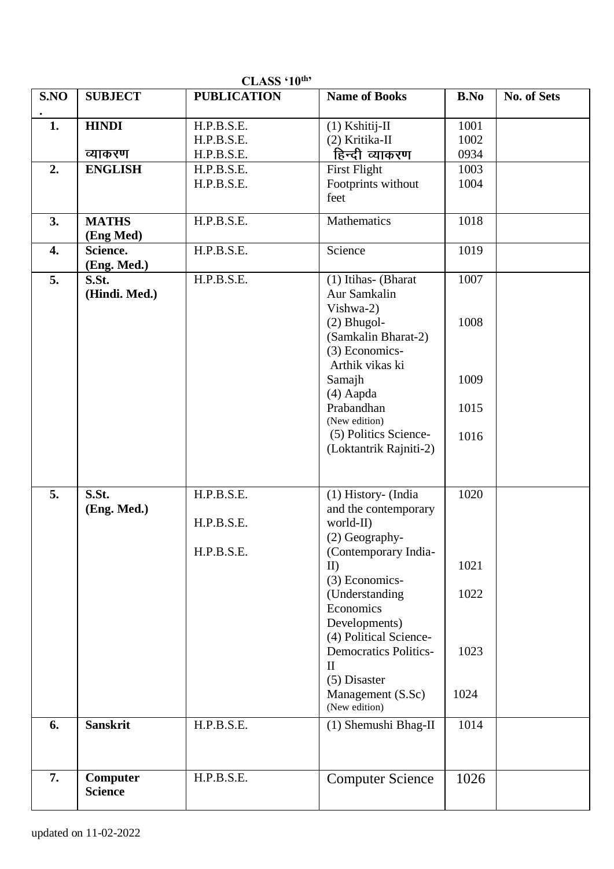|                  |                 | CLASS 10                 |                                    |              |             |
|------------------|-----------------|--------------------------|------------------------------------|--------------|-------------|
| SNO              | <b>SUBJECT</b>  | <b>PUBLICATION</b>       | <b>Name of Books</b>               | B.No         | No. of Sets |
|                  |                 |                          |                                    |              |             |
| $\overline{1}$ . | <b>HINDI</b>    | H.P.B.S.E.               | $(1)$ Kshitij-II<br>(2) Kritika-II | 1001<br>1002 |             |
|                  | व्याकरण         | H.P.B.S.E.<br>H.P.B.S.E. | हिन्दी व्याकरण                     | 0934         |             |
|                  | <b>ENGLISH</b>  | H.P.B.S.E.               | <b>First Flight</b>                | 1003         |             |
| 2.               |                 | H.P.B.S.E.               | Footprints without                 | 1004         |             |
|                  |                 |                          | feet                               |              |             |
|                  |                 |                          |                                    |              |             |
| 3.               | <b>MATHS</b>    | H.P.B.S.E.               | Mathematics                        | 1018         |             |
|                  | (Eng Med)       |                          |                                    |              |             |
| 4.               | Science.        | H.P.B.S.E.               | Science                            | 1019         |             |
|                  | (Eng. Med.)     |                          |                                    |              |             |
| $\overline{5}$ . | S.St.           | H.P.B.S.E.               | (1) Itihas- (Bharat                | 1007         |             |
|                  | (Hindi. Med.)   |                          | Aur Samkalin                       |              |             |
|                  |                 |                          | Vishwa-2)                          |              |             |
|                  |                 |                          | $(2)$ Bhugol-                      | 1008         |             |
|                  |                 |                          | (Samkalin Bharat-2)                |              |             |
|                  |                 |                          | (3) Economics-                     |              |             |
|                  |                 |                          | Arthik vikas ki                    |              |             |
|                  |                 |                          | Samajh                             | 1009         |             |
|                  |                 |                          | (4) Aapda                          |              |             |
|                  |                 |                          | Prabandhan                         | 1015         |             |
|                  |                 |                          | (New edition)                      |              |             |
|                  |                 |                          | (5) Politics Science-              | 1016         |             |
|                  |                 |                          | (Loktantrik Rajniti-2)             |              |             |
|                  |                 |                          |                                    |              |             |
| 5.               | S.St.           | H.P.B.S.E.               | (1) History- (India                | 1020         |             |
|                  | (Eng. Med.)     |                          | and the contemporary               |              |             |
|                  |                 | H.P.B.S.E.               | world-II)                          |              |             |
|                  |                 |                          | (2) Geography-                     |              |             |
|                  |                 | H.P.B.S.E.               | (Contemporary India-               |              |             |
|                  |                 |                          | $_{\text{ID}}$                     | 1021         |             |
|                  |                 |                          | (3) Economics-                     |              |             |
|                  |                 |                          | (Understanding                     | 1022         |             |
|                  |                 |                          | Economics                          |              |             |
|                  |                 |                          | Developments)                      |              |             |
|                  |                 |                          | (4) Political Science-             |              |             |
|                  |                 |                          | <b>Democratics Politics-</b>       | 1023         |             |
|                  |                 |                          | $\mathbf{I}$                       |              |             |
|                  |                 |                          | (5) Disaster                       |              |             |
|                  |                 |                          | Management (S.Sc)                  | 1024         |             |
|                  |                 |                          | (New edition)                      |              |             |
| 6.               | <b>Sanskrit</b> | H.P.B.S.E.               | (1) Shemushi Bhag-II               | 1014         |             |
|                  |                 |                          |                                    |              |             |
|                  |                 |                          |                                    |              |             |
| 7.               | <b>Computer</b> | H.P.B.S.E.               | <b>Computer Science</b>            | 1026         |             |
|                  | <b>Science</b>  |                          |                                    |              |             |
|                  |                 |                          |                                    |              |             |

**CLASS '10th'**